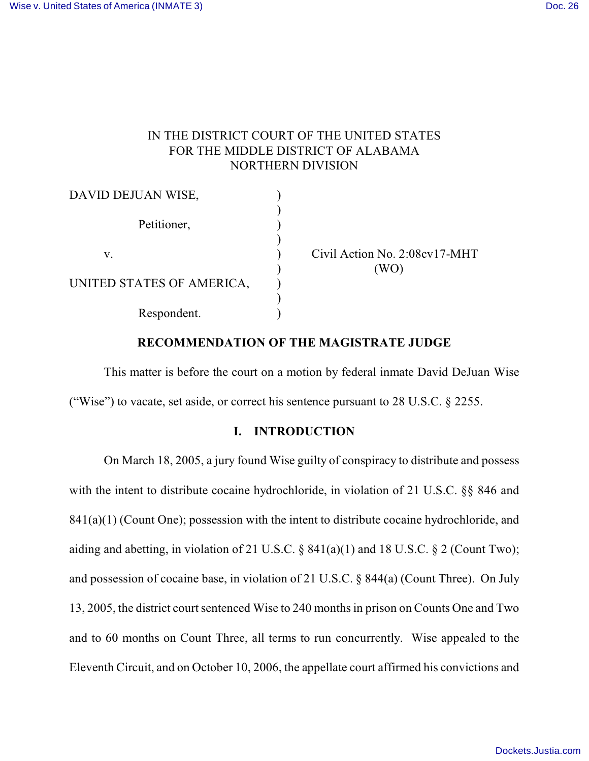# IN THE DISTRICT COURT OF THE UNITED STATES FOR THE MIDDLE DISTRICT OF ALABAMA NORTHERN DIVISION

| DAVID DEJUAN WISE,        |                               |
|---------------------------|-------------------------------|
| Petitioner,               |                               |
| V.                        | Civil Action No. 2:08cv17-MHT |
| UNITED STATES OF AMERICA, |                               |
| Respondent.               |                               |

## **RECOMMENDATION OF THE MAGISTRATE JUDGE**

This matter is before the court on a motion by federal inmate David DeJuan Wise ("Wise") to vacate, set aside, or correct his sentence pursuant to  $28 \text{ U.S.C.}$   $\S$   $2255$ .

## **I. INTRODUCTION**

On March 18, 2005, a jury found Wise guilty of conspiracy to distribute and possess with the intent to distribute cocaine hydrochloride, in violation of 21 U.S.C. §§ 846 and 841(a)(1) (Count One); possession with the intent to distribute cocaine hydrochloride, and aiding and abetting, in violation of 21 U.S.C.  $\S$  841(a)(1) and 18 U.S.C.  $\S$  2 (Count Two); and possession of cocaine base, in violation of 21 U.S.C. § 844(a) (Count Three). On July 13, 2005, the district court sentenced Wise to 240 months in prison on Counts One and Two and to 60 months on Count Three, all terms to run concurrently. Wise appealed to the Eleventh Circuit, and on October 10, 2006, the appellate court affirmed his convictions and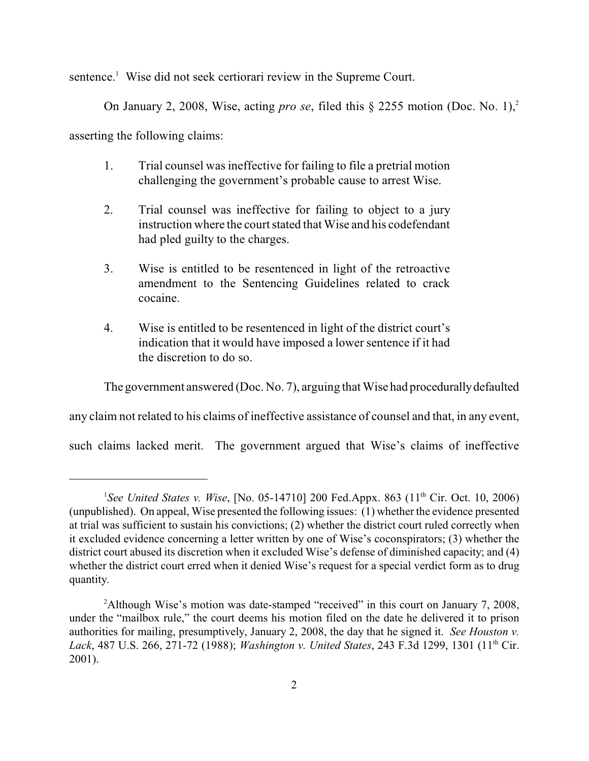sentence.<sup>1</sup> Wise did not seek certiorari review in the Supreme Court.

On January 2, 2008, Wise, acting *pro se*, filed this § 2255 motion (Doc. No. 1),<sup>2</sup>

asserting the following claims:

- 1. Trial counsel was ineffective for failing to file a pretrial motion challenging the government's probable cause to arrest Wise.
- 2. Trial counsel was ineffective for failing to object to a jury instruction where the court stated that Wise and his codefendant had pled guilty to the charges.
- 3. Wise is entitled to be resentenced in light of the retroactive amendment to the Sentencing Guidelines related to crack cocaine.
- 4. Wise is entitled to be resentenced in light of the district court's indication that it would have imposed a lower sentence if it had the discretion to do so.

The government answered (Doc. No. 7), arguing that Wise had procedurally defaulted

any claim not related to his claims of ineffective assistance of counsel and that, in any event,

such claims lacked merit. The government argued that Wise's claims of ineffective

<sup>&</sup>lt;sup>1</sup>See United States v. Wise, [No. 05-14710] 200 Fed.Appx. 863 (11<sup>th</sup> Cir. Oct. 10, 2006) (unpublished). On appeal, Wise presented the following issues: (1) whether the evidence presented at trial was sufficient to sustain his convictions; (2) whether the district court ruled correctly when it excluded evidence concerning a letter written by one of Wise's coconspirators; (3) whether the district court abused its discretion when it excluded Wise's defense of diminished capacity; and (4) whether the district court erred when it denied Wise's request for a special verdict form as to drug quantity.

<sup>&</sup>lt;sup>2</sup>Although Wise's motion was date-stamped "received" in this court on January 7, 2008, under the "mailbox rule," the court deems his motion filed on the date he delivered it to prison authorities for mailing, presumptively, January 2, 2008, the day that he signed it. *See Houston v. Lack*, 487 U.S. 266, 271-72 (1988); *Washington v. United States*, 243 F.3d 1299, 1301 (11<sup>th</sup> Cir. 2001).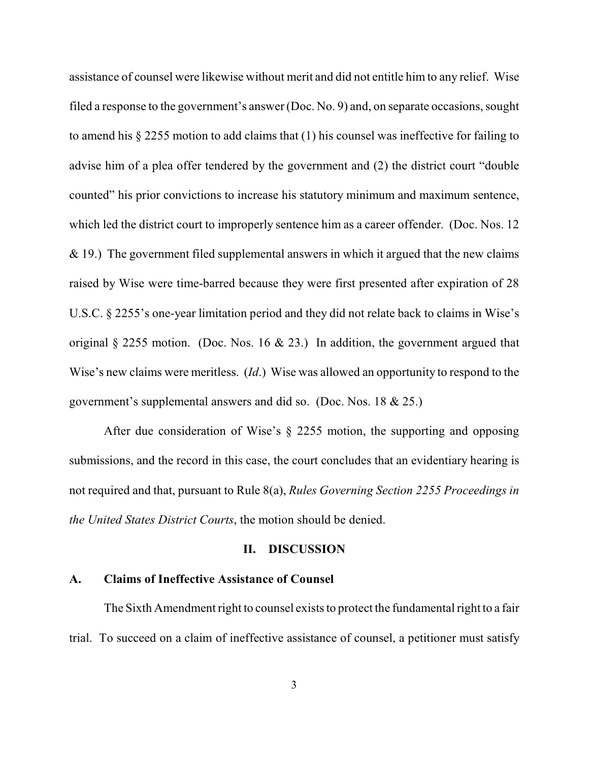assistance of counsel were likewise without merit and did not entitle him to any relief. Wise filed a response to the government's answer(Doc. No. 9) and, on separate occasions, sought to amend his § 2255 motion to add claims that (1) his counsel was ineffective for failing to advise him of a plea offer tendered by the government and (2) the district court "double counted" his prior convictions to increase his statutory minimum and maximum sentence, which led the district court to improperly sentence him as a career offender. (Doc. Nos. 12  $& 19$ .) The government filed supplemental answers in which it argued that the new claims raised by Wise were time-barred because they were first presented after expiration of 28 U.S.C. § 2255's one-year limitation period and they did not relate back to claims in Wise's original § 2255 motion. (Doc. Nos. 16 & 23.) In addition, the government argued that Wise's new claims were meritless. (*Id*.) Wise was allowed an opportunity to respond to the government's supplemental answers and did so. (Doc. Nos. 18 & 25.)

After due consideration of Wise's § 2255 motion, the supporting and opposing submissions, and the record in this case, the court concludes that an evidentiary hearing is not required and that, pursuant to Rule 8(a), *Rules Governing Section 2255 Proceedings in the United States District Courts*, the motion should be denied.

### **II. DISCUSSION**

## **A. Claims of Ineffective Assistance of Counsel**

The Sixth Amendment right to counsel exists to protect the fundamental right to a fair trial. To succeed on a claim of ineffective assistance of counsel, a petitioner must satisfy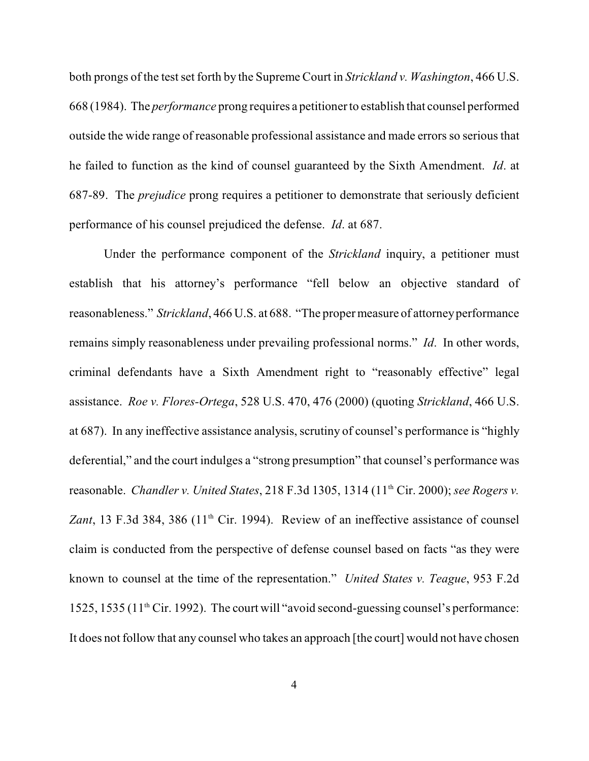both prongs of the test set forth by the Supreme Court in *Strickland v. Washington*, 466 U.S. 668 (1984). The *performance* prong requires a petitioner to establish that counsel performed outside the wide range of reasonable professional assistance and made errors so serious that he failed to function as the kind of counsel guaranteed by the Sixth Amendment. *Id*. at 687-89. The *prejudice* prong requires a petitioner to demonstrate that seriously deficient performance of his counsel prejudiced the defense. *Id*. at 687.

Under the performance component of the *Strickland* inquiry, a petitioner must establish that his attorney's performance "fell below an objective standard of reasonableness." *Strickland*, 466 U.S. at 688. "The proper measure of attorney performance remains simply reasonableness under prevailing professional norms." *Id*. In other words, criminal defendants have a Sixth Amendment right to "reasonably effective" legal assistance. *Roe v. Flores-Ortega*, 528 U.S. 470, 476 (2000) (quoting *Strickland*, 466 U.S. at 687). In any ineffective assistance analysis, scrutiny of counsel's performance is "highly deferential," and the court indulges a "strong presumption" that counsel's performance was reasonable. *Chandler v. United States*, 218 F.3d 1305, 1314 (11<sup>th</sup> Cir. 2000); *see Rogers v.* Zant, 13 F.3d 384, 386 (11<sup>th</sup> Cir. 1994). Review of an ineffective assistance of counsel claim is conducted from the perspective of defense counsel based on facts "as they were known to counsel at the time of the representation." *United States v. Teague*, 953 F.2d 1525, 1535 ( $11<sup>th</sup>$  Cir. 1992). The court will "avoid second-guessing counsel's performance: It does not follow that any counsel who takes an approach [the court] would not have chosen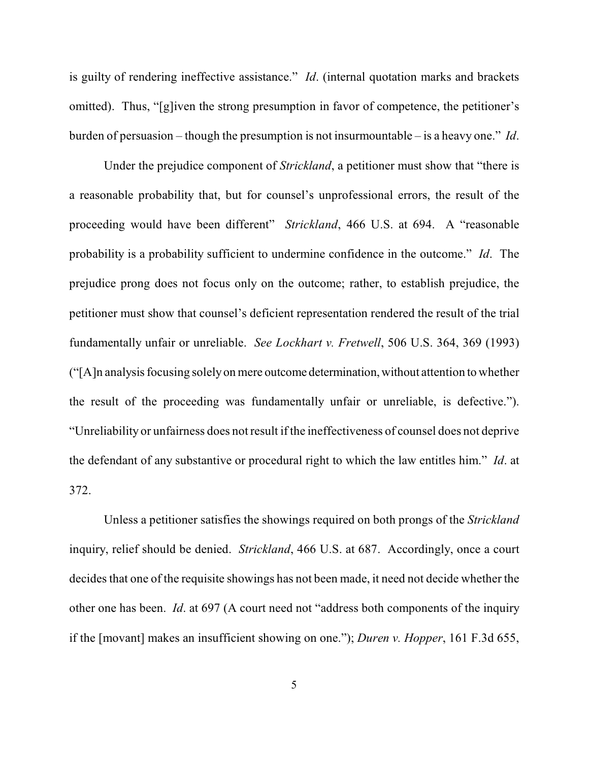is guilty of rendering ineffective assistance." *Id*. (internal quotation marks and brackets omitted). Thus, "[g]iven the strong presumption in favor of competence, the petitioner's burden of persuasion – though the presumption is not insurmountable – is a heavy one." *Id*.

Under the prejudice component of *Strickland*, a petitioner must show that "there is a reasonable probability that, but for counsel's unprofessional errors, the result of the proceeding would have been different" *Strickland*, 466 U.S. at 694. A "reasonable probability is a probability sufficient to undermine confidence in the outcome." *Id*. The prejudice prong does not focus only on the outcome; rather, to establish prejudice, the petitioner must show that counsel's deficient representation rendered the result of the trial fundamentally unfair or unreliable. *See Lockhart v. Fretwell*, 506 U.S. 364, 369 (1993) ("[A]n analysis focusing solely on mere outcome determination, without attention to whether the result of the proceeding was fundamentally unfair or unreliable, is defective."). "Unreliability or unfairness does not result if the ineffectiveness of counsel does not deprive the defendant of any substantive or procedural right to which the law entitles him." *Id*. at 372.

Unless a petitioner satisfies the showings required on both prongs of the *Strickland* inquiry, relief should be denied. *Strickland*, 466 U.S. at 687. Accordingly, once a court decides that one of the requisite showings has not been made, it need not decide whether the other one has been. *Id*. at 697 (A court need not "address both components of the inquiry if the [movant] makes an insufficient showing on one."); *Duren v. Hopper*, 161 F.3d 655,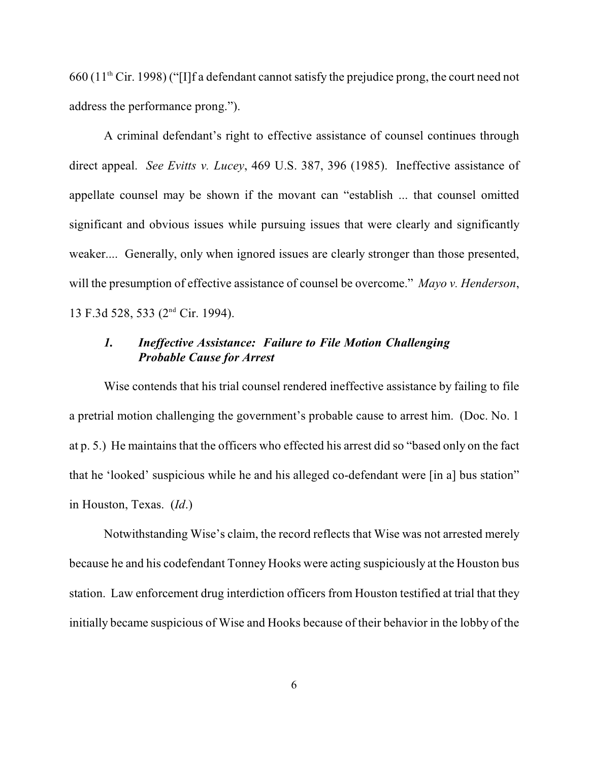$660$  (11<sup>th</sup> Cir. 1998) ("[I]f a defendant cannot satisfy the prejudice prong, the court need not address the performance prong.").

A criminal defendant's right to effective assistance of counsel continues through direct appeal. *See Evitts v. Lucey*, 469 U.S. 387, 396 (1985). Ineffective assistance of appellate counsel may be shown if the movant can "establish ... that counsel omitted significant and obvious issues while pursuing issues that were clearly and significantly weaker.... Generally, only when ignored issues are clearly stronger than those presented, will the presumption of effective assistance of counsel be overcome." *Mayo v. Henderson*, 13 F.3d 528, 533 (2<sup>nd</sup> Cir. 1994).

## *1. Ineffective Assistance: Failure to File Motion Challenging Probable Cause for Arrest*

Wise contends that his trial counsel rendered ineffective assistance by failing to file a pretrial motion challenging the government's probable cause to arrest him. (Doc. No. 1 at p. 5.) He maintains that the officers who effected his arrest did so "based only on the fact that he 'looked' suspicious while he and his alleged co-defendant were [in a] bus station" in Houston, Texas. (*Id*.)

Notwithstanding Wise's claim, the record reflects that Wise was not arrested merely because he and his codefendant Tonney Hooks were acting suspiciously at the Houston bus station. Law enforcement drug interdiction officers from Houston testified at trial that they initially became suspicious of Wise and Hooks because of their behavior in the lobby of the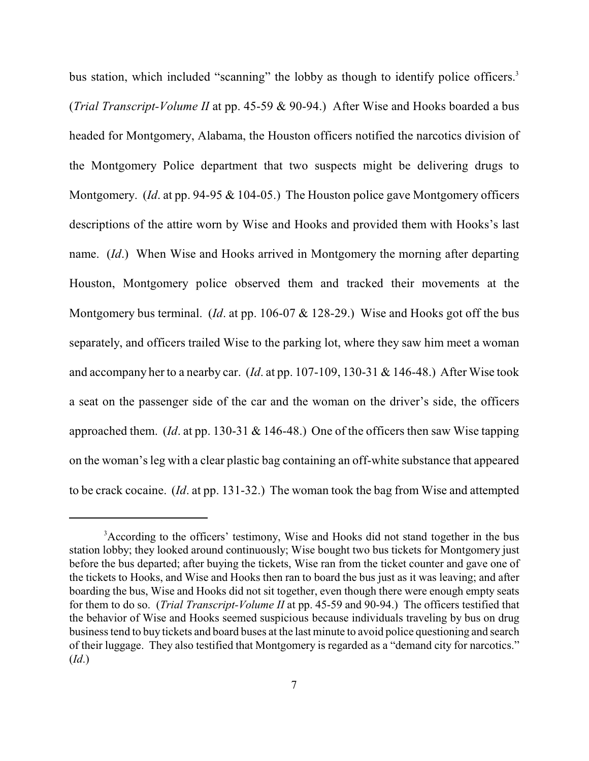bus station, which included "scanning" the lobby as though to identify police officers.<sup>3</sup> (*Trial Transcript-Volume II* at pp. 45-59 & 90-94.) After Wise and Hooks boarded a bus headed for Montgomery, Alabama, the Houston officers notified the narcotics division of the Montgomery Police department that two suspects might be delivering drugs to Montgomery. (*Id*. at pp. 94-95 & 104-05.) The Houston police gave Montgomery officers descriptions of the attire worn by Wise and Hooks and provided them with Hooks's last name. (*Id*.) When Wise and Hooks arrived in Montgomery the morning after departing Houston, Montgomery police observed them and tracked their movements at the Montgomery bus terminal. (*Id*. at pp. 106-07 & 128-29.) Wise and Hooks got off the bus separately, and officers trailed Wise to the parking lot, where they saw him meet a woman and accompany her to a nearby car. (*Id*. at pp. 107-109, 130-31 & 146-48.) After Wise took a seat on the passenger side of the car and the woman on the driver's side, the officers approached them. (*Id*. at pp. 130-31 & 146-48.) One of the officers then saw Wise tapping on the woman's leg with a clear plastic bag containing an off-white substance that appeared to be crack cocaine. (*Id*. at pp. 131-32.) The woman took the bag from Wise and attempted

<sup>&</sup>lt;sup>3</sup> According to the officers' testimony, Wise and Hooks did not stand together in the bus station lobby; they looked around continuously; Wise bought two bus tickets for Montgomery just before the bus departed; after buying the tickets, Wise ran from the ticket counter and gave one of the tickets to Hooks, and Wise and Hooks then ran to board the bus just as it was leaving; and after boarding the bus, Wise and Hooks did not sit together, even though there were enough empty seats for them to do so. (*Trial Transcript-Volume II* at pp. 45-59 and 90-94.) The officers testified that the behavior of Wise and Hooks seemed suspicious because individuals traveling by bus on drug business tend to buy tickets and board buses at the last minute to avoid police questioning and search of their luggage. They also testified that Montgomery is regarded as a "demand city for narcotics." (*Id*.)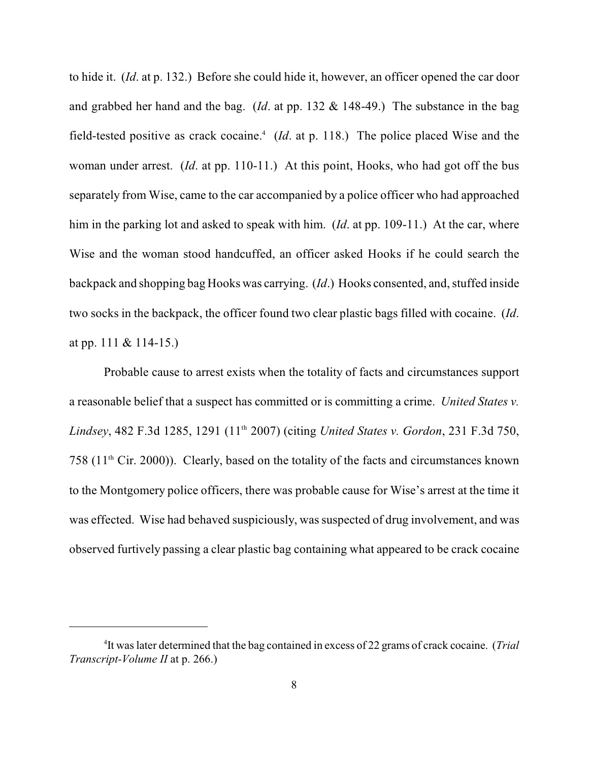to hide it. (*Id*. at p. 132.) Before she could hide it, however, an officer opened the car door and grabbed her hand and the bag. (*Id*. at pp. 132 & 148-49.) The substance in the bag field-tested positive as crack cocaine.<sup>4</sup> (*Id.* at p. 118.) The police placed Wise and the woman under arrest. (*Id*. at pp. 110-11.) At this point, Hooks, who had got off the bus separately from Wise, came to the car accompanied by a police officer who had approached him in the parking lot and asked to speak with him. (*Id*. at pp. 109-11.) At the car, where Wise and the woman stood handcuffed, an officer asked Hooks if he could search the backpack and shopping bag Hooks was carrying. (*Id*.) Hooks consented, and, stuffed inside two socks in the backpack, the officer found two clear plastic bags filled with cocaine. (*Id*. at pp. 111 & 114-15.)

Probable cause to arrest exists when the totality of facts and circumstances support a reasonable belief that a suspect has committed or is committing a crime. *United States v. Lindsey*, 482 F.3d 1285, 1291 (11<sup>th</sup> 2007) (citing *United States v. Gordon*, 231 F.3d 750, 758 ( $11<sup>th</sup>$  Cir. 2000)). Clearly, based on the totality of the facts and circumstances known to the Montgomery police officers, there was probable cause for Wise's arrest at the time it was effected. Wise had behaved suspiciously, was suspected of drug involvement, and was observed furtively passing a clear plastic bag containing what appeared to be crack cocaine

<sup>&</sup>lt;sup>4</sup>It was later determined that the bag contained in excess of 22 grams of crack cocaine. (*Trial Transcript-Volume II* at p. 266.)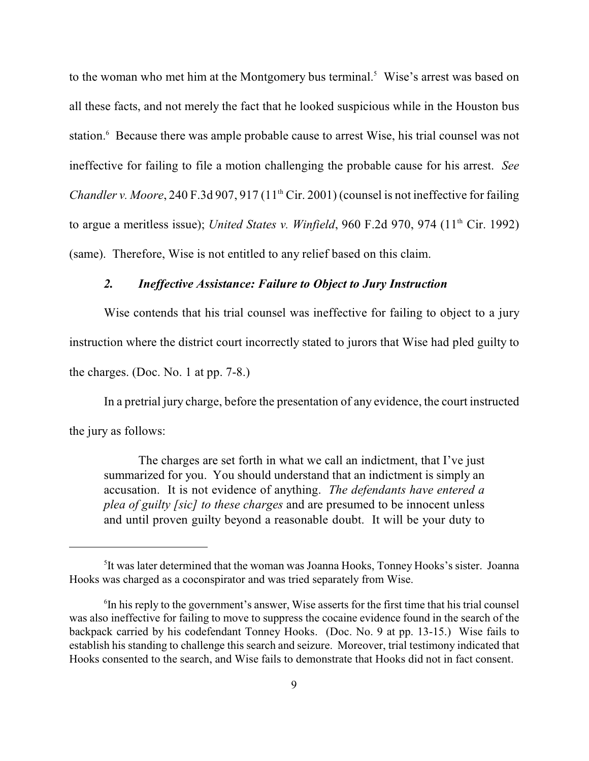to the woman who met him at the Montgomery bus terminal.<sup>5</sup> Wise's arrest was based on all these facts, and not merely the fact that he looked suspicious while in the Houston bus station.<sup>6</sup> Because there was ample probable cause to arrest Wise, his trial counsel was not ineffective for failing to file a motion challenging the probable cause for his arrest. *See Chandler v. Moore*, 240 F.3d 907, 917 (11<sup>th</sup> Cir. 2001) (counsel is not ineffective for failing to argue a meritless issue); *United States v. Winfield*, 960 F.2d 970, 974 ( $11<sup>th</sup>$  Cir. 1992) (same). Therefore, Wise is not entitled to any relief based on this claim.

## *2. Ineffective Assistance: Failure to Object to Jury Instruction*

Wise contends that his trial counsel was ineffective for failing to object to a jury instruction where the district court incorrectly stated to jurors that Wise had pled guilty to the charges. (Doc. No. 1 at pp. 7-8.)

In a pretrial jury charge, before the presentation of any evidence, the court instructed the jury as follows:

The charges are set forth in what we call an indictment, that I've just summarized for you. You should understand that an indictment is simply an accusation. It is not evidence of anything. *The defendants have entered a plea of guilty [sic] to these charges* and are presumed to be innocent unless and until proven guilty beyond a reasonable doubt. It will be your duty to

<sup>&</sup>lt;sup>5</sup>It was later determined that the woman was Joanna Hooks, Tonney Hooks's sister. Joanna Hooks was charged as a coconspirator and was tried separately from Wise.

 ${}^6$ In his reply to the government's answer, Wise asserts for the first time that his trial counsel was also ineffective for failing to move to suppress the cocaine evidence found in the search of the backpack carried by his codefendant Tonney Hooks. (Doc. No. 9 at pp. 13-15.) Wise fails to establish his standing to challenge this search and seizure. Moreover, trial testimony indicated that Hooks consented to the search, and Wise fails to demonstrate that Hooks did not in fact consent.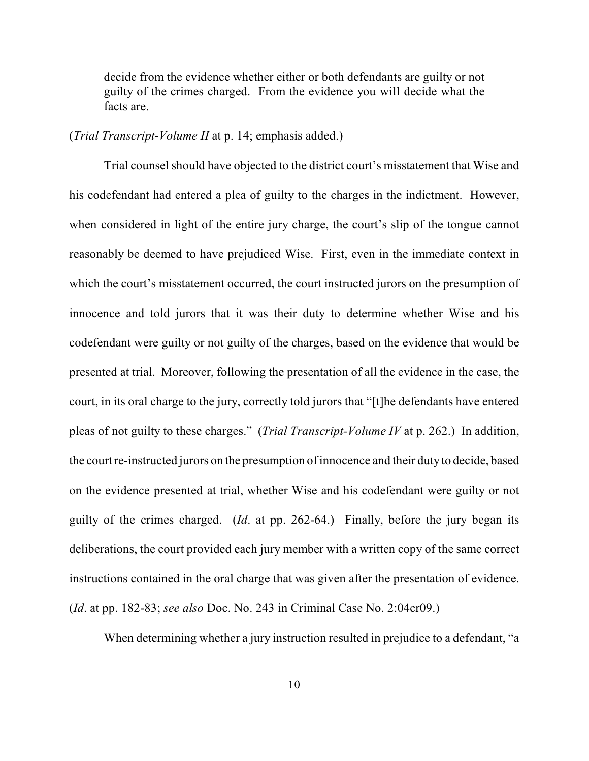decide from the evidence whether either or both defendants are guilty or not guilty of the crimes charged. From the evidence you will decide what the facts are.

#### (*Trial Transcript-Volume II* at p. 14; emphasis added.)

Trial counsel should have objected to the district court's misstatement that Wise and his codefendant had entered a plea of guilty to the charges in the indictment. However, when considered in light of the entire jury charge, the court's slip of the tongue cannot reasonably be deemed to have prejudiced Wise. First, even in the immediate context in which the court's misstatement occurred, the court instructed jurors on the presumption of innocence and told jurors that it was their duty to determine whether Wise and his codefendant were guilty or not guilty of the charges, based on the evidence that would be presented at trial. Moreover, following the presentation of all the evidence in the case, the court, in its oral charge to the jury, correctly told jurors that "[t]he defendants have entered pleas of not guilty to these charges." (*Trial Transcript-Volume IV* at p. 262.) In addition, the court re-instructed jurors on the presumption of innocence and their duty to decide, based on the evidence presented at trial, whether Wise and his codefendant were guilty or not guilty of the crimes charged. (*Id*. at pp. 262-64.) Finally, before the jury began its deliberations, the court provided each jury member with a written copy of the same correct instructions contained in the oral charge that was given after the presentation of evidence. (*Id*. at pp. 182-83; *see also* Doc. No. 243 in Criminal Case No. 2:04cr09.)

When determining whether a jury instruction resulted in prejudice to a defendant, "a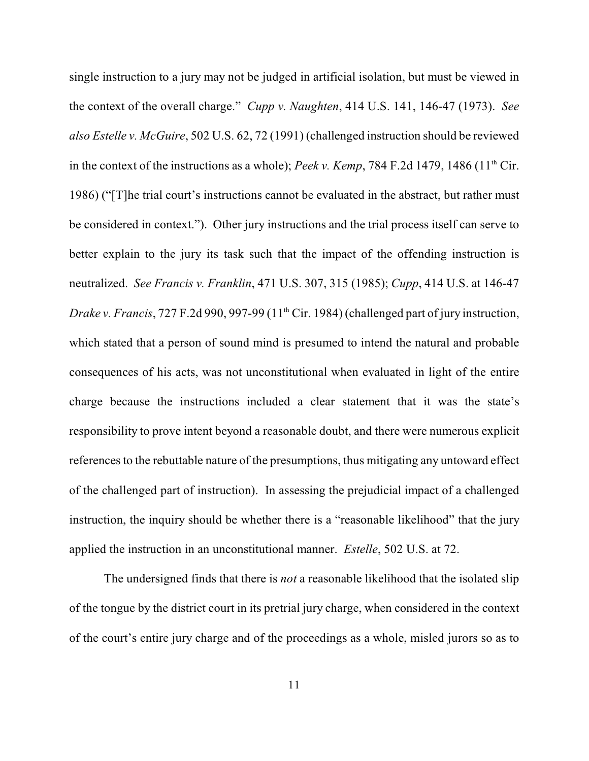single instruction to a jury may not be judged in artificial isolation, but must be viewed in the context of the overall charge." *Cupp v. Naughten*, 414 U.S. 141, 146-47 (1973). *See also Estelle v. McGuire*, 502 U.S. 62, 72 (1991) (challenged instruction should be reviewed in the context of the instructions as a whole); *Peek v. Kemp*, 784 F.2d 1479, 1486 ( $11<sup>th</sup> Cir$ . 1986) ("[T]he trial court's instructions cannot be evaluated in the abstract, but rather must be considered in context."). Other jury instructions and the trial process itself can serve to better explain to the jury its task such that the impact of the offending instruction is neutralized. *See Francis v. Franklin*, 471 U.S. 307, 315 (1985); *Cupp*, 414 U.S. at 146-47 *Drake v. Francis*, 727 F.2d 990, 997-99 (11<sup>th</sup> Cir. 1984) (challenged part of jury instruction, which stated that a person of sound mind is presumed to intend the natural and probable consequences of his acts, was not unconstitutional when evaluated in light of the entire charge because the instructions included a clear statement that it was the state's responsibility to prove intent beyond a reasonable doubt, and there were numerous explicit references to the rebuttable nature of the presumptions, thus mitigating any untoward effect of the challenged part of instruction). In assessing the prejudicial impact of a challenged instruction, the inquiry should be whether there is a "reasonable likelihood" that the jury applied the instruction in an unconstitutional manner. *Estelle*, 502 U.S. at 72.

The undersigned finds that there is *not* a reasonable likelihood that the isolated slip of the tongue by the district court in its pretrial jury charge, when considered in the context of the court's entire jury charge and of the proceedings as a whole, misled jurors so as to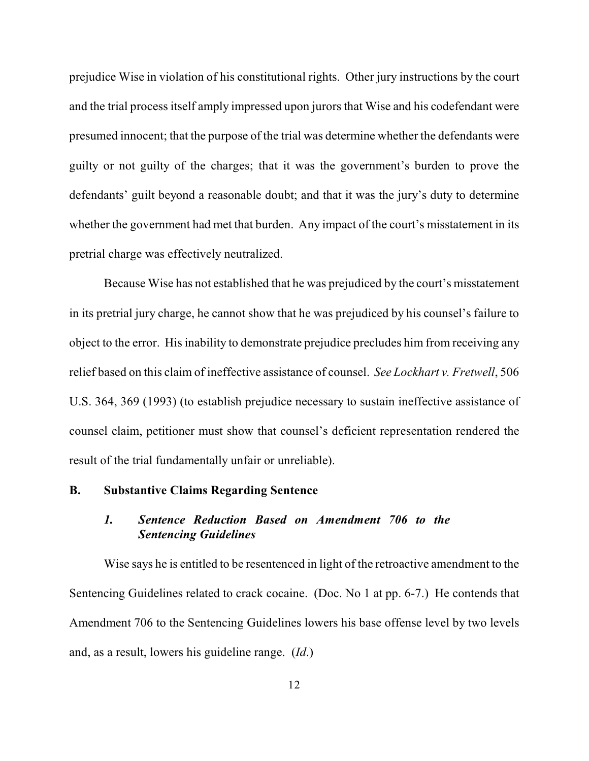prejudice Wise in violation of his constitutional rights. Other jury instructions by the court and the trial process itself amply impressed upon jurors that Wise and his codefendant were presumed innocent; that the purpose of the trial was determine whether the defendants were guilty or not guilty of the charges; that it was the government's burden to prove the defendants' guilt beyond a reasonable doubt; and that it was the jury's duty to determine whether the government had met that burden. Any impact of the court's misstatement in its pretrial charge was effectively neutralized.

Because Wise has not established that he was prejudiced by the court's misstatement in its pretrial jury charge, he cannot show that he was prejudiced by his counsel's failure to object to the error. His inability to demonstrate prejudice precludes him from receiving any relief based on this claim of ineffective assistance of counsel. *See Lockhart v. Fretwell*, 506 U.S. 364, 369 (1993) (to establish prejudice necessary to sustain ineffective assistance of counsel claim, petitioner must show that counsel's deficient representation rendered the result of the trial fundamentally unfair or unreliable).

#### **B. Substantive Claims Regarding Sentence**

## *1. Sentence Reduction Based on Amendment 706 to the Sentencing Guidelines*

Wise says he is entitled to be resentenced in light of the retroactive amendment to the Sentencing Guidelines related to crack cocaine. (Doc. No 1 at pp. 6-7.) He contends that Amendment 706 to the Sentencing Guidelines lowers his base offense level by two levels and, as a result, lowers his guideline range. (*Id*.)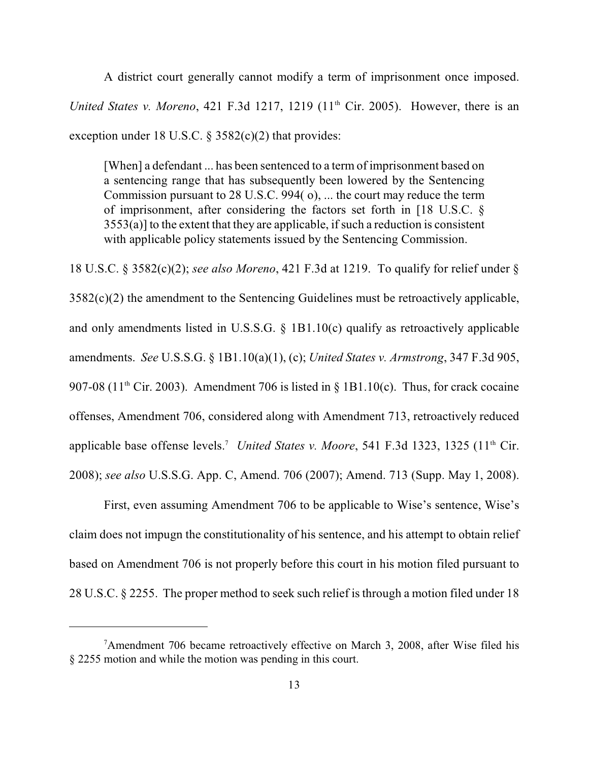A district court generally cannot modify a term of imprisonment once imposed. *United States v. Moreno*, 421 F.3d 1217, 1219 (11<sup>th</sup> Cir. 2005). However, there is an exception under 18 U.S.C.  $\S$  3582(c)(2) that provides:

[When] a defendant ... has been sentenced to a term of imprisonment based on a sentencing range that has subsequently been lowered by the Sentencing Commission pursuant to 28 U.S.C. 994( o), ... the court may reduce the term of imprisonment, after considering the factors set forth in [18 U.S.C. §  $3553(a)$ ] to the extent that they are applicable, if such a reduction is consistent with applicable policy statements issued by the Sentencing Commission.

18 U.S.C. § 3582(c)(2); *see also Moreno*, 421 F.3d at 1219. To qualify for relief under §  $3582(c)(2)$  the amendment to the Sentencing Guidelines must be retroactively applicable, and only amendments listed in U.S.S.G. § 1B1.10(c) qualify as retroactively applicable amendments. *See* U.S.S.G. § 1B1.10(a)(1), (c); *United States v. Armstrong*, 347 F.3d 905, 907-08 (11<sup>th</sup> Cir. 2003). Amendment 706 is listed in  $\S$  1B1.10(c). Thus, for crack cocaine offenses, Amendment 706, considered along with Amendment 713, retroactively reduced applicable base offense levels.<sup>7</sup> United States v. Moore, 541 F.3d 1323, 1325 (11<sup>th</sup> Cir. 2008); *see also* U.S.S.G. App. C, Amend. 706 (2007); Amend. 713 (Supp. May 1, 2008).

First, even assuming Amendment 706 to be applicable to Wise's sentence, Wise's claim does not impugn the constitutionality of his sentence, and his attempt to obtain relief based on Amendment 706 is not properly before this court in his motion filed pursuant to 28 U.S.C. § 2255. The proper method to seek such relief is through a motion filed under 18

<sup>&</sup>lt;sup>7</sup>Amendment 706 became retroactively effective on March 3, 2008, after Wise filed his § 2255 motion and while the motion was pending in this court.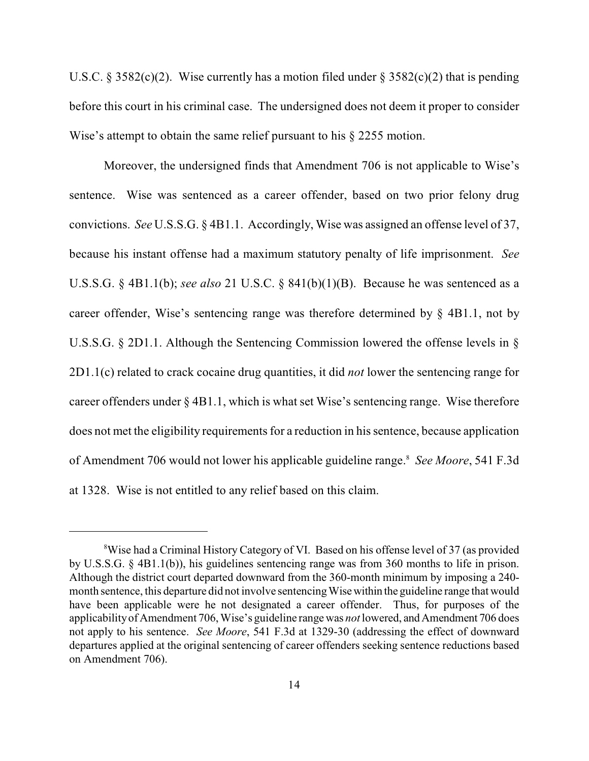U.S.C. § 3582(c)(2). Wise currently has a motion filed under § 3582(c)(2) that is pending before this court in his criminal case. The undersigned does not deem it proper to consider Wise's attempt to obtain the same relief pursuant to his § 2255 motion.

Moreover, the undersigned finds that Amendment 706 is not applicable to Wise's sentence. Wise was sentenced as a career offender, based on two prior felony drug convictions. *See* U.S.S.G. § 4B1.1. Accordingly, Wise was assigned an offense level of 37, because his instant offense had a maximum statutory penalty of life imprisonment. *See* U.S.S.G. § 4B1.1(b); *see also* 21 U.S.C. § 841(b)(1)(B). Because he was sentenced as a career offender, Wise's sentencing range was therefore determined by § 4B1.1, not by U.S.S.G. § 2D1.1. Although the Sentencing Commission lowered the offense levels in § 2D1.1(c) related to crack cocaine drug quantities, it did *not* lower the sentencing range for career offenders under § 4B1.1, which is what set Wise's sentencing range. Wise therefore does not met the eligibility requirements for a reduction in his sentence, because application of Amendment 706 would not lower his applicable guideline range. *See Moore*, 541 F.3d <sup>8</sup> at 1328. Wise is not entitled to any relief based on this claim.

<sup>&</sup>lt;sup>8</sup>Wise had a Criminal History Category of VI. Based on his offense level of 37 (as provided by U.S.S.G. § 4B1.1(b)), his guidelines sentencing range was from 360 months to life in prison. Although the district court departed downward from the 360-month minimum by imposing a 240 month sentence, this departure did not involve sentencing Wise within the guideline range that would have been applicable were he not designated a career offender. Thus, for purposes of the applicability of Amendment 706, Wise's guideline range was *not* lowered, and Amendment 706 does not apply to his sentence. *See Moore*, 541 F.3d at 1329-30 (addressing the effect of downward departures applied at the original sentencing of career offenders seeking sentence reductions based on Amendment 706).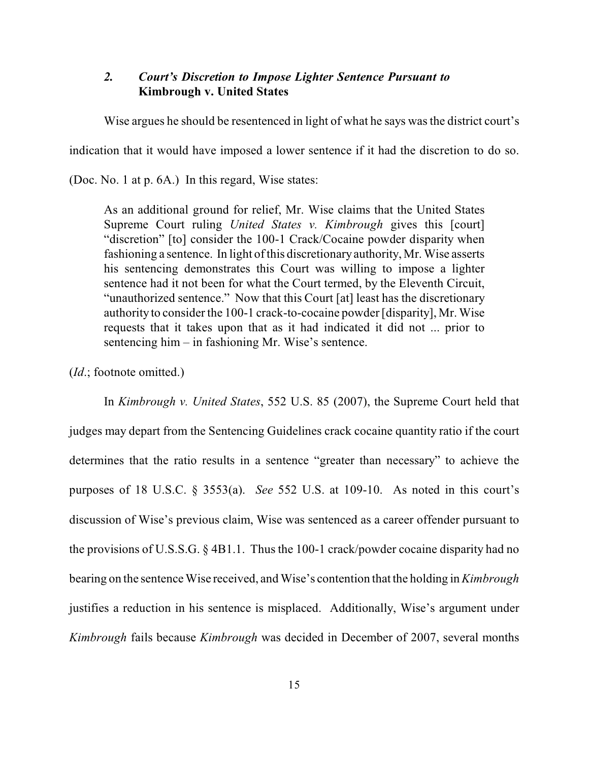# *2. Court's Discretion to Impose Lighter Sentence Pursuant to* **Kimbrough v. United States**

Wise argues he should be resentenced in light of what he says was the district court's

indication that it would have imposed a lower sentence if it had the discretion to do so.

(Doc. No. 1 at p. 6A.) In this regard, Wise states:

As an additional ground for relief, Mr. Wise claims that the United States Supreme Court ruling *United States v. Kimbrough* gives this [court] "discretion" [to] consider the 100-1 Crack/Cocaine powder disparity when fashioning a sentence. In light ofthis discretionaryauthority, Mr. Wise asserts his sentencing demonstrates this Court was willing to impose a lighter sentence had it not been for what the Court termed, by the Eleventh Circuit, "unauthorized sentence." Now that this Court [at] least has the discretionary authority to consider the 100-1 crack-to-cocaine powder [disparity], Mr. Wise requests that it takes upon that as it had indicated it did not ... prior to sentencing him – in fashioning Mr. Wise's sentence.

(*Id*.; footnote omitted.)

In *Kimbrough v. United States*, 552 U.S. 85 (2007), the Supreme Court held that judges may depart from the Sentencing Guidelines crack cocaine quantity ratio if the court determines that the ratio results in a sentence "greater than necessary" to achieve the purposes of 18 U.S.C. § 3553(a). *See* 552 U.S. at 109-10. As noted in this court's discussion of Wise's previous claim, Wise was sentenced as a career offender pursuant to the provisions of U.S.S.G.  $\S$  4B1.1. Thus the 100-1 crack/powder cocaine disparity had no bearing on the sentence Wise received, and Wise's contention that the holding in *Kimbrough* justifies a reduction in his sentence is misplaced. Additionally, Wise's argument under *Kimbrough* fails because *Kimbrough* was decided in December of 2007, several months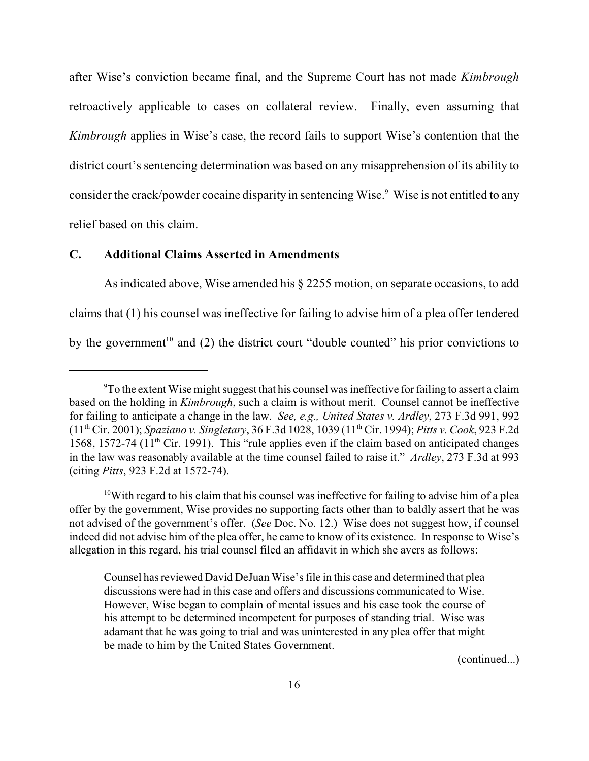after Wise's conviction became final, and the Supreme Court has not made *Kimbrough* retroactively applicable to cases on collateral review. Finally, even assuming that *Kimbrough* applies in Wise's case, the record fails to support Wise's contention that the district court's sentencing determination was based on any misapprehension of its ability to consider the crack/powder cocaine disparity in sentencing Wise.<sup>9</sup> Wise is not entitled to any relief based on this claim.

## **C. Additional Claims Asserted in Amendments**

As indicated above, Wise amended his § 2255 motion, on separate occasions, to add claims that (1) his counsel was ineffective for failing to advise him of a plea offer tendered by the government<sup>10</sup> and (2) the district court "double counted" his prior convictions to

(continued...)

<sup>&</sup>lt;sup>9</sup>To the extent Wise might suggest that his counsel was ineffective for failing to assert a claim based on the holding in *Kimbrough*, such a claim is without merit. Counsel cannot be ineffective for failing to anticipate a change in the law. *See, e.g., United States v. Ardley*, 273 F.3d 991, 992 (11<sup>th</sup> Cir. 2001); *Spaziano v. Singletary*, 36 F.3d 1028, 1039 (11<sup>th</sup> Cir. 1994); *Pitts v. Cook*, 923 F.2d 1568, 1572-74 (11<sup>th</sup> Cir. 1991). This "rule applies even if the claim based on anticipated changes in the law was reasonably available at the time counsel failed to raise it." *Ardley*, 273 F.3d at 993 (citing *Pitts*, 923 F.2d at 1572-74).

<sup>&</sup>lt;sup>10</sup>With regard to his claim that his counsel was ineffective for failing to advise him of a plea offer by the government, Wise provides no supporting facts other than to baldly assert that he was not advised of the government's offer. (*See* Doc. No. 12.) Wise does not suggest how, if counsel indeed did not advise him of the plea offer, he came to know of its existence. In response to Wise's allegation in this regard, his trial counsel filed an affidavit in which she avers as follows:

Counsel has reviewed David DeJuan Wise's file in this case and determined that plea discussions were had in this case and offers and discussions communicated to Wise. However, Wise began to complain of mental issues and his case took the course of his attempt to be determined incompetent for purposes of standing trial. Wise was adamant that he was going to trial and was uninterested in any plea offer that might be made to him by the United States Government.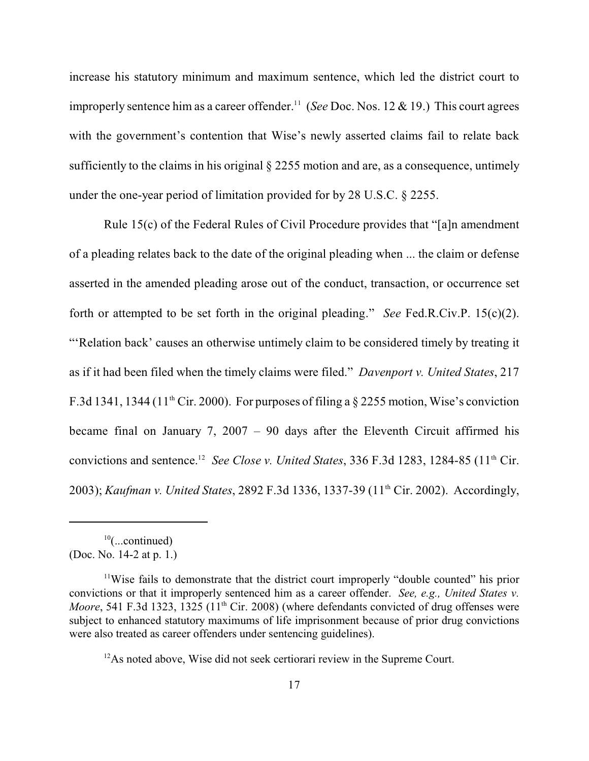increase his statutory minimum and maximum sentence, which led the district court to improperly sentence him as a career offender.<sup>11</sup> (See Doc. Nos. 12 & 19.) This court agrees with the government's contention that Wise's newly asserted claims fail to relate back sufficiently to the claims in his original § 2255 motion and are, as a consequence, untimely under the one-year period of limitation provided for by 28 U.S.C. § 2255.

Rule 15(c) of the Federal Rules of Civil Procedure provides that "[a]n amendment of a pleading relates back to the date of the original pleading when ... the claim or defense asserted in the amended pleading arose out of the conduct, transaction, or occurrence set forth or attempted to be set forth in the original pleading." *See* Fed.R.Civ.P. 15(c)(2). "'Relation back' causes an otherwise untimely claim to be considered timely by treating it as if it had been filed when the timely claims were filed." *Davenport v. United States*, 217 F.3d 1341, 1344 (11<sup>th</sup> Cir. 2000). For purposes of filing a  $\S$  2255 motion, Wise's conviction became final on January 7, 2007 – 90 days after the Eleventh Circuit affirmed his convictions and sentence.<sup>12</sup> See Close v. United States, 336 F.3d 1283, 1284-85 (11<sup>th</sup> Cir. 2003); *Kaufman v. United States*, 2892 F.3d 1336, 1337-39 (11<sup>th</sup> Cir. 2002). Accordingly,

 $10$ (...continued) (Doc. No. 14-2 at p. 1.)

 $11$ Wise fails to demonstrate that the district court improperly "double counted" his prior convictions or that it improperly sentenced him as a career offender. *See, e.g., United States v. Moore*, 541 F.3d 1323, 1325 (11<sup>th</sup> Cir. 2008) (where defendants convicted of drug offenses were subject to enhanced statutory maximums of life imprisonment because of prior drug convictions were also treated as career offenders under sentencing guidelines).

 $12$ As noted above, Wise did not seek certiorari review in the Supreme Court.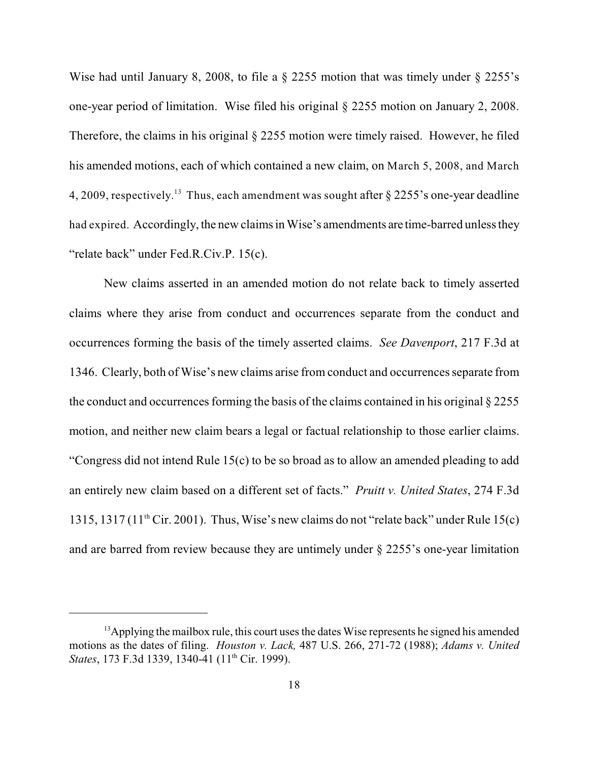Wise had until January 8, 2008, to file a § 2255 motion that was timely under § 2255's one-year period of limitation. Wise filed his original § 2255 motion on January 2, 2008. Therefore, the claims in his original § 2255 motion were timely raised. However, he filed his amended motions, each of which contained a new claim, on March 5, 2008, and March 4, 2009, respectively.<sup>13</sup> Thus, each amendment was sought after  $\S$  2255's one-year deadline had expired. Accordingly, the new claims in Wise's amendments are time-barred unless they "relate back" under Fed.R.Civ.P. 15(c).

New claims asserted in an amended motion do not relate back to timely asserted claims where they arise from conduct and occurrences separate from the conduct and occurrences forming the basis of the timely asserted claims. *See Davenport*, 217 F.3d at 1346. Clearly, both of Wise's new claims arise from conduct and occurrences separate from the conduct and occurrences forming the basis of the claims contained in his original § 2255 motion, and neither new claim bears a legal or factual relationship to those earlier claims. "Congress did not intend Rule 15(c) to be so broad as to allow an amended pleading to add an entirely new claim based on a different set of facts." *Pruitt v. United States*, 274 F.3d 1315, 1317 (11<sup>th</sup> Cir. 2001). Thus, Wise's new claims do not "relate back" under Rule 15(c) and are barred from review because they are untimely under § 2255's one-year limitation

<sup>&</sup>lt;sup>13</sup> Applying the mailbox rule, this court uses the dates Wise represents he signed his amended motions as the dates of filing. *Houston v. Lack,* 487 U.S. 266, 271-72 (1988); *Adams v. United States*, 173 F.3d 1339, 1340-41 (11<sup>th</sup> Cir. 1999).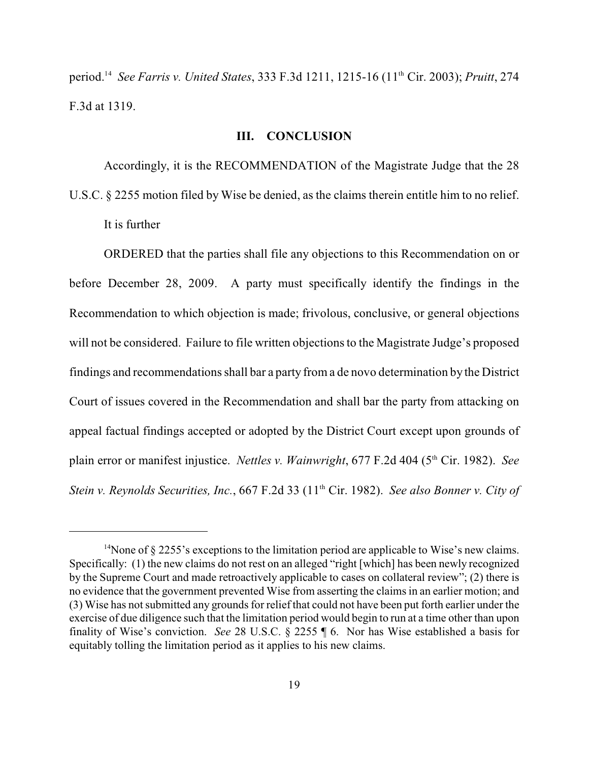period.<sup>14</sup> See Farris v. United States, 333 F.3d 1211, 1215-16 (11<sup>th</sup> Cir. 2003); *Pruitt*, 274 F.3d at 1319.

## **III. CONCLUSION**

Accordingly, it is the RECOMMENDATION of the Magistrate Judge that the 28 U.S.C. § 2255 motion filed by Wise be denied, as the claims therein entitle him to no relief. It is further

ORDERED that the parties shall file any objections to this Recommendation on or before December 28, 2009. A party must specifically identify the findings in the Recommendation to which objection is made; frivolous, conclusive, or general objections will not be considered. Failure to file written objections to the Magistrate Judge's proposed findings and recommendations shall bar a party from a de novo determination by the District Court of issues covered in the Recommendation and shall bar the party from attacking on appeal factual findings accepted or adopted by the District Court except upon grounds of plain error or manifest injustice. *Nettles v. Wainwright*, 677 F.2d 404 (5<sup>th</sup> Cir. 1982). *See Stein v. Reynolds Securities, Inc., 667 F.2d 33 (11<sup>th</sup> Cir. 1982). <i>See also Bonner v. City of* 

<sup>&</sup>lt;sup>14</sup>None of  $\S 2255$ 's exceptions to the limitation period are applicable to Wise's new claims. Specifically: (1) the new claims do not rest on an alleged "right [which] has been newly recognized by the Supreme Court and made retroactively applicable to cases on collateral review"; (2) there is no evidence that the government prevented Wise from asserting the claims in an earlier motion; and (3) Wise has not submitted any grounds for relief that could not have been put forth earlier under the exercise of due diligence such that the limitation period would begin to run at a time other than upon finality of Wise's conviction. *See* 28 U.S.C. § 2255 ¶ 6. Nor has Wise established a basis for equitably tolling the limitation period as it applies to his new claims.